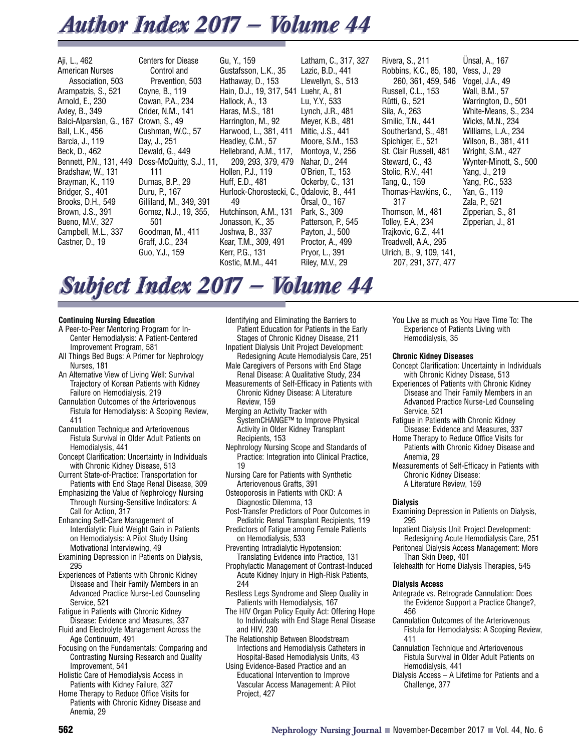# *Author Index 2017 — Volume 44 Author Index 2017 — Volume 44*

Aji, L., 462 American Nurses Association, 503 Arampatzis, S., 521 Arnold, E., 230 Axley, B., 349 Balci-Alparslan, G., 167 Crown, S., 49 Ball, L.K., 456 Barcia, J., 119 Beck, D., 462 Bennett, P.N., 131, 449 Bradshaw, W., 131 Brayman, K., 119 Bridger, S., 401 Brooks, D.H., 549 Brown, J.S., 391 Bueno, M.V., 327 Campbell, M.L., 337 Castner, D., 19

Centers for Diease Control and Prevention, 503 Coyne, B., 119 Cowan, P.A., 234 Crider, N.M., 141 Cushman, W.C., 57 Day, J., 251 Dewald, G., 449 Doss-McQuitty, S.J., 11, 111 Dumas, B.P., 29 Duru, P., 167 Gilliland, M., 349, 391 Gomez, N.J., 19, 355, 501 Goodman, M., 411 Graff, J.C., 234 Guo, Y.J., 159

Gu, Y., 159 Gustafsson, L.K., 35 Hathaway, D., 153 Hain, D.J., 19, 317, 541 Luehr, A., 81 Hallock, A., 13 Haras, M.S., 181 Harrington, M., 92 Harwood, L., 381, 411 Headley, C.M., 57 Hellebrand, A.M., 117, 209, 293, 379, 479 Hollen, P.J., 119 Huff, E.D., 481 Hurlock-Chorostecki, C., Odalovic, B., 441 49 Hutchinson, A.M., 131 Jonasson, K., 35 Joshwa, B., 337 Kear, T.M., 309, 491 Kerr, P.G., 131 Kostic, M.M., 441

Latham, C., 317, 327 Lazic, B.D., 441 Llewellyn, S., 513 Lu, Y.Y., 533 Lynch, J.R., 481 Meyer, K.B., 481 Mitic, J.S., 441 Moore, S.M., 153 Montoya, V., 256 Nahar, D., 244 O'Brien, T., 153 Ockerby, C., 131 Örsal, O., 167 Park, S., 309 Patterson, P., 545 Payton, J., 500 Proctor, A., 499 Pryor, L., 391 Riley, M.V., 29

Rivera, S., 211 Robbins, K.C., 85, 180, 260, 361, 459, 546 Russell, C.L., 153 Rütti, G., 521 Sila, A., 263 Smilic, T.N., 441 Southerland, S., 481 Spichiger, E., 521 St. Clair Russell, 481 Steward, C., 43 Stolic, R.V., 441 Tang, Q., 159 Thomas-Hawkins, C., 317 Thomson, M., 481 Tolley, E.A., 234 Trajkovic, G.Z., 441 Treadwell, A.A., 295 Ulrich, B., 9, 109, 141, 207, 291, 377, 477

Ünsal, A., 167 Vess, J., 29 Vogel, J.A., 49 Wall, B.M., 57 Warrington, D., 501 White-Means, S., 234 Wicks, M.N., 234 Williams, L.A., 234 Wilson, B., 381, 411 Wright, S.M., 427 Wynter-Minott, S., 500 Yang, J., 219 Yang, P.C., 533 Yan, G., 119 Zala, P., 521 Zipperian, S., 81 Zipperian, J., 81

# *Subject Index 2017 — Volume 44 Subject Index 2017 — Volume 44*

# **Continuing Nursing Education**

- A Peer-to-Peer Mentoring Program for In-Center Hemodialysis: A Patient-Centered Improvement Program, 581
- All Things Bed Bugs: A Primer for Nephrology Nurses, 181
- An Alternative View of Living Well: Survival Trajectory of Korean Patients with Kidney Failure on Hemodialysis, 219
- Cannulation Outcomes of the Arteriovenous Fistula for Hemodialysis: A Scoping Review, 411
- Cannulation Technique and Arteriovenous Fistula Survival in Older Adult Patients on Hemodialysis, 441
- Concept Clarification: Uncertainty in Individuals with Chronic Kidney Disease, 513
- Current State-of-Practice: Transportation for Patients with End Stage Renal Disease, 309
- Emphasizing the Value of Nephrology Nursing Through Nursing-Sensitive Indicators: A Call for Action, 317
- Enhancing Self-Care Management of Interdialytic Fluid Weight Gain in Patients on Hemodialysis: A Pilot Study Using Motivational Interviewing, 49
- Examining Depression in Patients on Dialysis, 295
- Experiences of Patients with Chronic Kidney Disease and Their Family Members in an Advanced Practice Nurse-Led Counseling Service, 521
- Fatigue in Patients with Chronic Kidney Disease: Evidence and Measures, 337
- Fluid and Electrolyte Management Across the Age Continuum, 491
- Focusing on the Fundamentals: Comparing and Contrasting Nursing Research and Quality Improvement, 541
- Holistic Care of Hemodialysis Access in Patients with Kidney Failure, 327
- Home Therapy to Reduce Office Visits for Patients with Chronic Kidney Disease and Anemia, 29

Identifying and Eliminating the Barriers to Patient Education for Patients in the Early Stages of Chronic Kidney Disease, 211

- Inpatient Dialysis Unit Project Development: Redesigning Acute Hemodialysis Care, 251
- Male Caregivers of Persons with End Stage Renal Disease: A Qualitative Study, 234
- Measurements of Self-Efficacy in Patients with Chronic Kidney Disease: A Literature Review, 159
- Merging an Activity Tracker with SystemCHANGE™ to Improve Physical Activity in Older Kidney Transplant Recipients, 153
- Nephrology Nursing Scope and Standards of Practice: Integration into Clinical Practice, 19
- Nursing Care for Patients with Synthetic Arteriovenous Grafts, 391
- Osteoporosis in Patients with CKD: A Diagnostic Dilemma, 13
- Post-Transfer Predictors of Poor Outcomes in Pediatric Renal Transplant Recipients, 119
- Predictors of Fatigue among Female Patients on Hemodialysis, 533
- Preventing Intradialytic Hypotension: Translating Evidence into Practice, 131
- Prophylactic Management of Contrast-Induced Acute Kidney Injury in High-Risk Patients, 244
- Restless Legs Syndrome and Sleep Quality in Patients with Hemodialysis, 167
- The HIV Organ Policy Equity Act: Offering Hope to Individuals with End Stage Renal Disease and HIV, 230
- The Relationship Between Bloodstream Infections and Hemodialysis Catheters in Hospital-Based Hemodialysis Units, 43
- Using Evidence-Based Practice and an Educational Intervention to Improve Vascular Access Management: A Pilot Project, 427

You Live as much as You Have Time To: The Experience of Patients Living with Hemodialysis, 35

#### **Chronic Kidney Diseases**

- Concept Clarification: Uncertainty in Individuals with Chronic Kidney Disease, 513
- Experiences of Patients with Chronic Kidney Disease and Their Family Members in an Advanced Practice Nurse-Led Counseling Service, 521
- Fatigue in Patients with Chronic Kidney Disease: Evidence and Measures, 337
- Home Therapy to Reduce Office Visits for Patients with Chronic Kidney Disease and Anemia, 29
- Measurements of Self-Efficacy in Patients with Chronic Kidney Disease: A Literature Review, 159

# **Dialysis**

- Examining Depression in Patients on Dialysis, 295
- Inpatient Dialysis Unit Project Development: Redesigning Acute Hemodialysis Care, 251
- Peritoneal Dialysis Access Management: More Than Skin Deep, 401
- Telehealth for Home Dialysis Therapies, 545

# **Dialysis Access**

- Antegrade vs. Retrograde Cannulation: Does the Evidence Support a Practice Change?, 456
- Cannulation Outcomes of the Arteriovenous Fistula for Hemodialysis: A Scoping Review, 411
- Cannulation Technique and Arteriovenous Fistula Survival in Older Adult Patients on Hemodialysis, 441
- Dialysis Access A Lifetime for Patients and a Challenge, 377